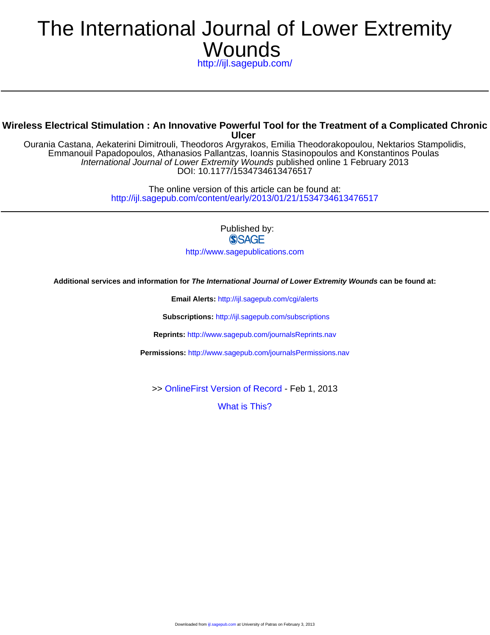# **Wounds** The International Journal of Lower Extremity

<http://ijl.sagepub.com/>

# **Ulcer Wireless Electrical Stimulation : An Innovative Powerful Tool for the Treatment of a Complicated Chronic**

DOI: 10.1177/1534734613476517 International Journal of Lower Extremity Wounds published online 1 February 2013 Emmanouil Papadopoulos, Athanasios Pallantzas, Ioannis Stasinopoulos and Konstantinos Poulas Ourania Castana, Aekaterini Dimitrouli, Theodoros Argyrakos, Emilia Theodorakopoulou, Nektarios Stampolidis,

> <http://ijl.sagepub.com/content/early/2013/01/21/1534734613476517> The online version of this article can be found at:

> > Published by: **SSAGE** <http://www.sagepublications.com>

**Additional services and information for The International Journal of Lower Extremity Wounds can be found at:**

**Email Alerts:** <http://ijl.sagepub.com/cgi/alerts>

**Subscriptions:** <http://ijl.sagepub.com/subscriptions>

**Reprints:** <http://www.sagepub.com/journalsReprints.nav>

**Permissions:** <http://www.sagepub.com/journalsPermissions.nav>

>> [OnlineFirst Version of Record -](http://ijl.sagepub.com/content/early/2013/01/21/1534734613476517.full.pdf) Feb 1, 2013

[What is This?](http://online.sagepub.com/site/sphelp/vorhelp.xhtml)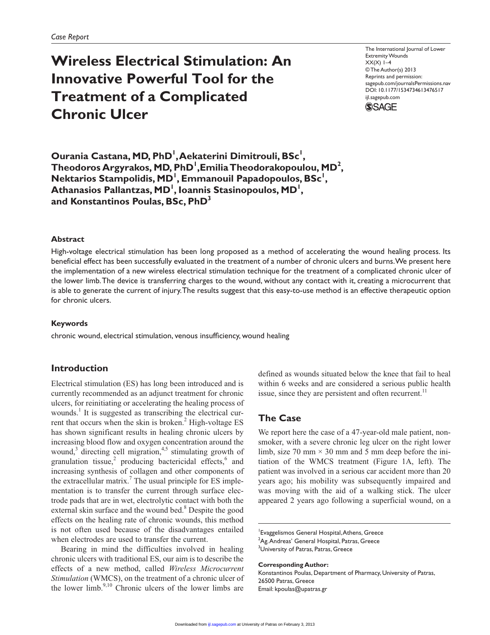# **Wireless Electrical Stimulation: An Innovative Powerful Tool for the Treatment of a Complicated Chronic Ulcer**

The International Journal of Lower Extremity Wounds  $XX(X)$  1–4 © The Author(s) 2013 Reprints and permission: sagepub.com/journalsPermissions.nav DOI: 10.1177/1534734613476517 ijl.sagepub.com



**Ourania Castana, MD, PhD1 , Aekaterini Dimitrouli, BSc1 , Theodoros Argyrakos, MD, PhD1 ,Emilia Theodorakopoulou, MD2 ,**  Nektarios Stampolidis, MD<sup>1</sup>, Emmanouil Papadopoulos, BSc<sup>1</sup>, **Athanasios Pallantzas, MD1 , Ioannis Stasinopoulos, MD1 , and Konstantinos Poulas, BSc, PhD3**

#### **Abstract**

High-voltage electrical stimulation has been long proposed as a method of accelerating the wound healing process. Its beneficial effect has been successfully evaluated in the treatment of a number of chronic ulcers and burns. We present here the implementation of a new wireless electrical stimulation technique for the treatment of a complicated chronic ulcer of the lower limb. The device is transferring charges to the wound, without any contact with it, creating a microcurrent that is able to generate the current of injury. The results suggest that this easy-to-use method is an effective therapeutic option for chronic ulcers.

#### **Keywords**

chronic wound, electrical stimulation, venous insufficiency, wound healing

## **Introduction**

Electrical stimulation (ES) has long been introduced and is currently recommended as an adjunct treatment for chronic ulcers, for reinitiating or accelerating the healing process of wounds.<sup>1</sup> It is suggested as transcribing the electrical current that occurs when the skin is broken. $2$  High-voltage ES has shown significant results in healing chronic ulcers by increasing blood flow and oxygen concentration around the wound,<sup>3</sup> directing cell migration,<sup>4,5</sup> stimulating growth of granulation tissue,<sup>2</sup> producing bactericidal effects, $6$  and increasing synthesis of collagen and other components of the extracellular matrix.<sup>7</sup> The usual principle for ES implementation is to transfer the current through surface electrode pads that are in wet, electrolytic contact with both the external skin surface and the wound bed.<sup>8</sup> Despite the good effects on the healing rate of chronic wounds, this method is not often used because of the disadvantages entailed when electrodes are used to transfer the current.

Bearing in mind the difficulties involved in healing chronic ulcers with traditional ES, our aim is to describe the effects of a new method, called *Wireless Microcurrent Stimulation* (WMCS), on the treatment of a chronic ulcer of the lower limb. $9,10$  Chronic ulcers of the lower limbs are defined as wounds situated below the knee that fail to heal within 6 weeks and are considered a serious public health issue, since they are persistent and often recurrent.<sup>11</sup>

# **The Case**

We report here the case of a 47-year-old male patient, nonsmoker, with a severe chronic leg ulcer on the right lower limb, size 70 mm  $\times$  30 mm and 5 mm deep before the initiation of the WMCS treatment (Figure 1A, left). The patient was involved in a serious car accident more than 20 years ago; his mobility was subsequently impaired and was moving with the aid of a walking stick. The ulcer appeared 2 years ago following a superficial wound, on a

**Corresponding Author:**

Konstantinos Poulas, Department of Pharmacy, University of Patras, 26500 Patras, Greece Email: kpoulas@upatras.gr

<sup>1</sup> Evaggelismos General Hospital, Athens, Greece  ${\rm ^2}$ Ag. Andreas' General Hospital, Patras, Greece <sup>3</sup>University of Patras, Patras, Greece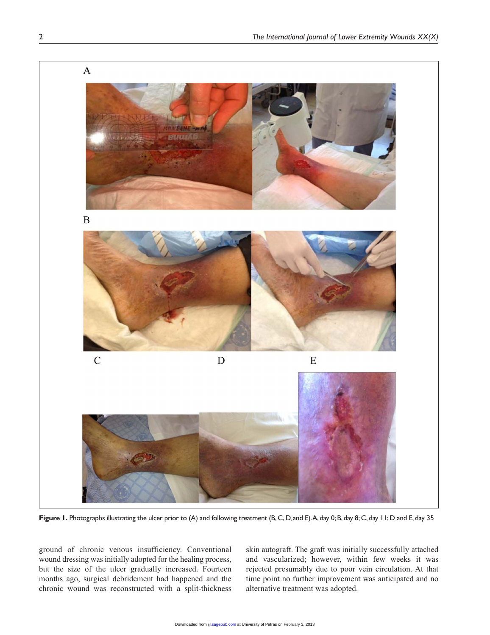

Figure 1. Photographs illustrating the ulcer prior to (A) and following treatment (B, C, D, and E). A, day 0; B, day 8; C, day 11; D and E, day 35

ground of chronic venous insufficiency. Conventional wound dressing was initially adopted for the healing process, but the size of the ulcer gradually increased. Fourteen months ago, surgical debridement had happened and the chronic wound was reconstructed with a split-thickness

skin autograft. The graft was initially successfully attached and vascularized; however, within few weeks it was rejected presumably due to poor vein circulation. At that time point no further improvement was anticipated and no alternative treatment was adopted.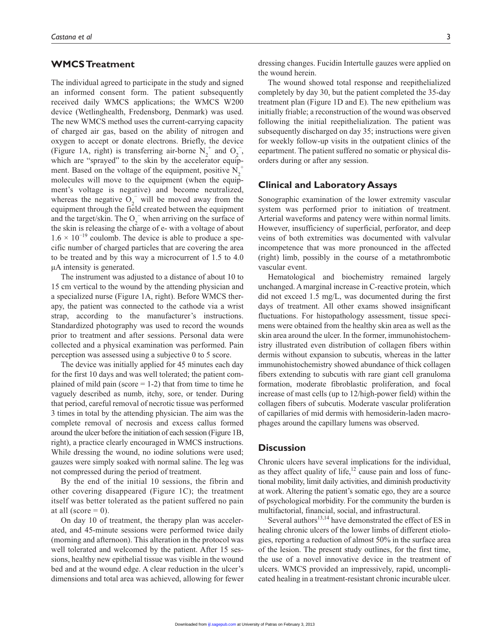## **WMCS Treatment**

The individual agreed to participate in the study and signed an informed consent form. The patient subsequently received daily WMCS applications; the WMCS W200 device (Wetlinghealth, Fredensborg, Denmark) was used. The new WMCS method uses the current-carrying capacity of charged air gas, based on the ability of nitrogen and oxygen to accept or donate electrons. Briefly, the device (Figure 1A, right) is transferring air-borne  $N_2^+$  and  $O_2^-$ , which are "sprayed" to the skin by the accelerator equipment. Based on the voltage of the equipment, positive  $N_2^+$ molecules will move to the equipment (when the equipment's voltage is negative) and become neutralized, whereas the negative  $O_2^-$  will be moved away from the equipment through the field created between the equipment and the target/skin. The  $O_2^-$  when arriving on the surface of the skin is releasing the charge of e- with a voltage of about  $1.6 \times 10^{-19}$  coulomb. The device is able to produce a specific number of charged particles that are covering the area to be treated and by this way a microcurrent of 1.5 to 4.0 µΑ intensity is generated.

The instrument was adjusted to a distance of about 10 to 15 cm vertical to the wound by the attending physician and a specialized nurse (Figure 1A, right). Before WMCS therapy, the patient was connected to the cathode via a wrist strap, according to the manufacturer's instructions. Standardized photography was used to record the wounds prior to treatment and after sessions. Personal data were collected and a physical examination was performed. Pain perception was assessed using a subjective 0 to 5 score.

The device was initially applied for 45 minutes each day for the first 10 days and was well tolerated; the patient complained of mild pain (score  $= 1-2$ ) that from time to time he vaguely described as numb, itchy, sore, or tender. During that period, careful removal of necrotic tissue was performed 3 times in total by the attending physician. The aim was the complete removal of necrosis and excess callus formed around the ulcer before the initiation of each session (Figure 1B, right), a practice clearly encouraged in WMCS instructions. While dressing the wound, no iodine solutions were used; gauzes were simply soaked with normal saline. The leg was not compressed during the period of treatment.

By the end of the initial 10 sessions, the fibrin and other covering disappeared (Figure 1C); the treatment itself was better tolerated as the patient suffered no pain at all (score  $= 0$ ).

On day 10 of treatment, the therapy plan was accelerated, and 45-minute sessions were performed twice daily (morning and afternoon). This alteration in the protocol was well tolerated and welcomed by the patient. After 15 sessions, healthy new epithelial tissue was visible in the wound bed and at the wound edge. A clear reduction in the ulcer's dimensions and total area was achieved, allowing for fewer

dressing changes. Fucidin Intertulle gauzes were applied on the wound herein.

The wound showed total response and reepithelialized completely by day 30, but the patient completed the 35-day treatment plan (Figure 1D and E). The new epithelium was initially friable; a reconstruction of the wound was observed following the initial reepithelialization. The patient was subsequently discharged on day 35; instructions were given for weekly follow-up visits in the outpatient clinics of the eepartment. The patient suffered no somatic or physical disorders during or after any session.

#### **Clinical and Laboratory Assays**

Sonographic examination of the lower extremity vascular system was performed prior to initiation of treatment. Arterial waveforms and patency were within normal limits. However, insufficiency of superficial, perforator, and deep veins of both extremities was documented with valvular incompetence that was more pronounced in the affected (right) limb, possibly in the course of a metathrombotic vascular event.

Hematological and biochemistry remained largely unchanged. A marginal increase in C-reactive protein, which did not exceed 1.5 mg/L, was documented during the first days of treatment. All other exams showed insignificant fluctuations. For histopathology assessment, tissue specimens were obtained from the healthy skin area as well as the skin area around the ulcer. In the former, immunohistochemistry illustrated even distribution of collagen fibers within dermis without expansion to subcutis, whereas in the latter immunohistochemistry showed abundance of thick collagen fibers extending to subcutis with rare giant cell granuloma formation, moderate fibroblastic proliferation, and focal increase of mast cells (up to 12/high-power field) within the collagen fibers of subcutis. Moderate vascular proliferation of capillaries of mid dermis with hemosiderin-laden macrophages around the capillary lumens was observed.

## **Discussion**

Chronic ulcers have several implications for the individual, as they affect quality of life, $12$  cause pain and loss of functional mobility, limit daily activities, and diminish productivity at work. Altering the patient's somatic ego, they are a source of psychological morbidity. For the community the burden is multifactorial, financial, social, and infrastructural.

Several authors $^{13,14}$  have demonstrated the effect of ES in healing chronic ulcers of the lower limbs of different etiologies, reporting a reduction of almost 50% in the surface area of the lesion. The present study outlines, for the first time, the use of a novel innovative device in the treatment of ulcers. WMCS provided an impressively, rapid, uncomplicated healing in a treatment-resistant chronic incurable ulcer.